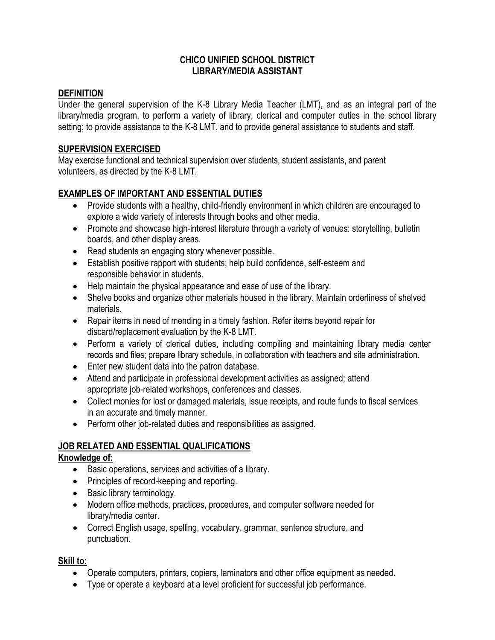### **CHICO UNIFIED SCHOOL DISTRICT LIBRARY/MEDIA ASSISTANT**

#### **DEFINITION**

Under the general supervision of the K-8 Library Media Teacher (LMT), and as an integral part of the library/media program, to perform a variety of library, clerical and computer duties in the school library setting; to provide assistance to the K-8 LMT, and to provide general assistance to students and staff.

### **SUPERVISION EXERCISED**

May exercise functional and technical supervision over students, student assistants, and parent volunteers, as directed by the K-8 LMT.

## **EXAMPLES OF IMPORTANT AND ESSENTIAL DUTIES**

- Provide students with a healthy, child-friendly environment in which children are encouraged to explore a wide variety of interests through books and other media.
- Promote and showcase high-interest literature through a variety of venues: storytelling, bulletin boards, and other display areas.
- Read students an engaging story whenever possible.
- Establish positive rapport with students; help build confidence, self-esteem and responsible behavior in students.
- Help maintain the physical appearance and ease of use of the library.
- Shelve books and organize other materials housed in the library. Maintain orderliness of shelved materials.
- Repair items in need of mending in a timely fashion. Refer items beyond repair for discard/replacement evaluation by the K-8 LMT.
- Perform a variety of clerical duties, including compiling and maintaining library media center records and files; prepare library schedule, in collaboration with teachers and site administration.
- Enter new student data into the patron database.
- Attend and participate in professional development activities as assigned; attend appropriate job-related workshops, conferences and classes.
- Collect monies for lost or damaged materials, issue receipts, and route funds to fiscal services in an accurate and timely manner.
- Perform other job-related duties and responsibilities as assigned.

# **JOB RELATED AND ESSENTIAL QUALIFICATIONS**

### **Knowledge of:**

- Basic operations, services and activities of a library.
- Principles of record-keeping and reporting.
- Basic library terminology.
- Modern office methods, practices, procedures, and computer software needed for library/media center.
- Correct English usage, spelling, vocabulary, grammar, sentence structure, and punctuation.

### **Skill to:**

- Operate computers, printers, copiers, laminators and other office equipment as needed.
- Type or operate a keyboard at a level proficient for successful job performance.